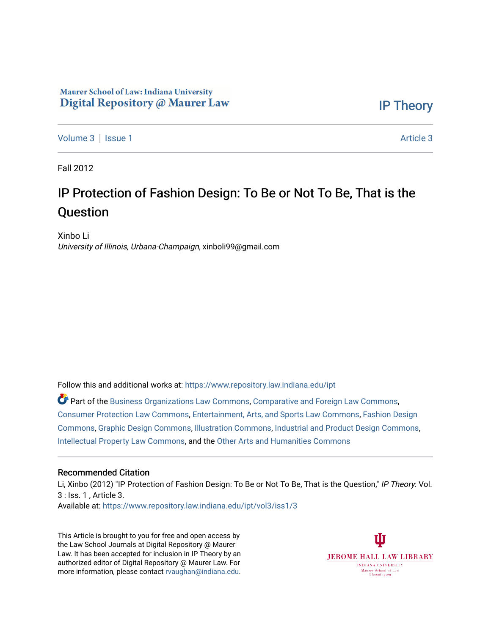# Maurer School of Law: Indiana University Digital Repository @ Maurer Law

[IP Theory](https://www.repository.law.indiana.edu/ipt) 

[Volume 3](https://www.repository.law.indiana.edu/ipt/vol3) | [Issue 1](https://www.repository.law.indiana.edu/ipt/vol3/iss1) [Article 3](https://www.repository.law.indiana.edu/ipt/vol3/iss1/3) | Article 3 | Article 3 | Article 3 | Article 3 | Article 3 | Article 3 | Article 3 | Article 3 | Article 3 | Article 3 | Article 3 | Article 3 | Article 3 | Article 3 | Article 3 | Article 3 |

Fall 2012

# IP Protection of Fashion Design: To Be or Not To Be, That is the Question

Xinbo Li University of Illinois, Urbana-Champaign, xinboli99@gmail.com

Follow this and additional works at: [https://www.repository.law.indiana.edu/ipt](https://www.repository.law.indiana.edu/ipt?utm_source=www.repository.law.indiana.edu%2Fipt%2Fvol3%2Fiss1%2F3&utm_medium=PDF&utm_campaign=PDFCoverPages) 

Part of the [Business Organizations Law Commons](http://network.bepress.com/hgg/discipline/900?utm_source=www.repository.law.indiana.edu%2Fipt%2Fvol3%2Fiss1%2F3&utm_medium=PDF&utm_campaign=PDFCoverPages), [Comparative and Foreign Law Commons](http://network.bepress.com/hgg/discipline/836?utm_source=www.repository.law.indiana.edu%2Fipt%2Fvol3%2Fiss1%2F3&utm_medium=PDF&utm_campaign=PDFCoverPages), [Consumer Protection Law Commons,](http://network.bepress.com/hgg/discipline/838?utm_source=www.repository.law.indiana.edu%2Fipt%2Fvol3%2Fiss1%2F3&utm_medium=PDF&utm_campaign=PDFCoverPages) [Entertainment, Arts, and Sports Law Commons](http://network.bepress.com/hgg/discipline/893?utm_source=www.repository.law.indiana.edu%2Fipt%2Fvol3%2Fiss1%2F3&utm_medium=PDF&utm_campaign=PDFCoverPages), [Fashion Design](http://network.bepress.com/hgg/discipline/1132?utm_source=www.repository.law.indiana.edu%2Fipt%2Fvol3%2Fiss1%2F3&utm_medium=PDF&utm_campaign=PDFCoverPages)  [Commons](http://network.bepress.com/hgg/discipline/1132?utm_source=www.repository.law.indiana.edu%2Fipt%2Fvol3%2Fiss1%2F3&utm_medium=PDF&utm_campaign=PDFCoverPages), [Graphic Design Commons](http://network.bepress.com/hgg/discipline/1134?utm_source=www.repository.law.indiana.edu%2Fipt%2Fvol3%2Fiss1%2F3&utm_medium=PDF&utm_campaign=PDFCoverPages), [Illustration Commons](http://network.bepress.com/hgg/discipline/1135?utm_source=www.repository.law.indiana.edu%2Fipt%2Fvol3%2Fiss1%2F3&utm_medium=PDF&utm_campaign=PDFCoverPages), [Industrial and Product Design Commons,](http://network.bepress.com/hgg/discipline/1139?utm_source=www.repository.law.indiana.edu%2Fipt%2Fvol3%2Fiss1%2F3&utm_medium=PDF&utm_campaign=PDFCoverPages) [Intellectual Property Law Commons,](http://network.bepress.com/hgg/discipline/896?utm_source=www.repository.law.indiana.edu%2Fipt%2Fvol3%2Fiss1%2F3&utm_medium=PDF&utm_campaign=PDFCoverPages) and the [Other Arts and Humanities Commons](http://network.bepress.com/hgg/discipline/577?utm_source=www.repository.law.indiana.edu%2Fipt%2Fvol3%2Fiss1%2F3&utm_medium=PDF&utm_campaign=PDFCoverPages)

#### Recommended Citation

Li, Xinbo (2012) "IP Protection of Fashion Design: To Be or Not To Be, That is the Question," IP Theory: Vol. 3 : Iss. 1 , Article 3.

Available at: [https://www.repository.law.indiana.edu/ipt/vol3/iss1/3](https://www.repository.law.indiana.edu/ipt/vol3/iss1/3?utm_source=www.repository.law.indiana.edu%2Fipt%2Fvol3%2Fiss1%2F3&utm_medium=PDF&utm_campaign=PDFCoverPages) 

This Article is brought to you for free and open access by the Law School Journals at Digital Repository @ Maurer Law. It has been accepted for inclusion in IP Theory by an authorized editor of Digital Repository @ Maurer Law. For more information, please contact [rvaughan@indiana.edu](mailto:rvaughan@indiana.edu).

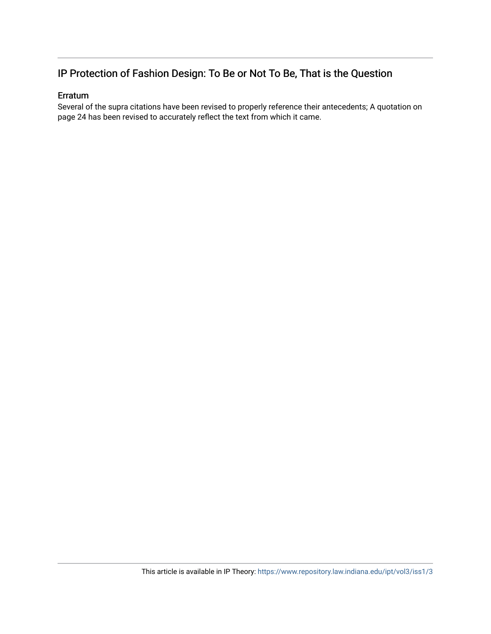# IP Protection of Fashion Design: To Be or Not To Be, That is the Question

### Erratum

Several of the supra citations have been revised to properly reference their antecedents; A quotation on page 24 has been revised to accurately reflect the text from which it came.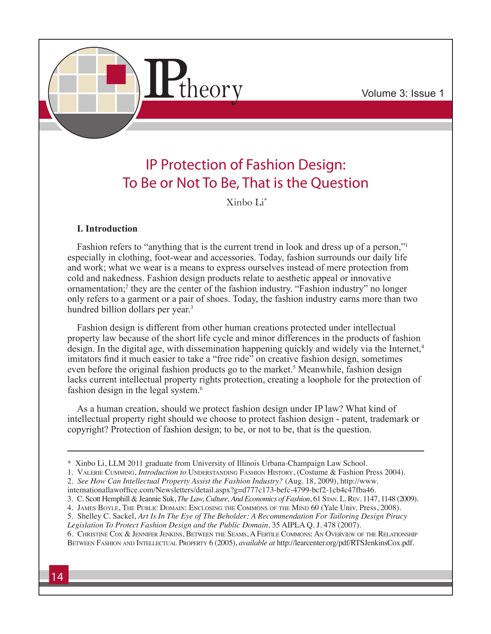

# IP Protection of Fashion Design: To Be or Not To Be, That is the Question

Xinbo Li\*

# **I. Introduction**

Fashion refers to "anything that is the current trend in look and dress up of a person," especially in clothing, foot-wear and accessories. Today, fashion surrounds our daily life and work; what we wear is a means to express ourselves instead of mere protection from cold and nakedness. Fashion design products relate to aesthetic appeal or innovative ornamentation;<sup>2</sup> they are the center of the fashion industry. "Fashion industry" no longer only refers to a garment or a pair of shoes. Today, the fashion industry earns more than two hundred billion dollars per year.<sup>3</sup>

Fashion design is different from other human creations protected under intellectual property law because of the short life cycle and minor differences in the products of fashion design. In the digital age, with dissemination happening quickly and widely via the Internet,<sup>4</sup> imitators find it much easier to take a "free ride" on creative fashion design, sometimes even before the original fashion products go to the market.<sup>5</sup> Meanwhile, fashion design lacks current intellectual property rights protection, creating a loophole for the protection of fashion design in the legal system.6

As a human creation, should we protect fashion design under IP law? What kind of intellectual property right should we choose to protect fashion design - patent, trademark or copyright? Protection of fashion design; to be, or not to be, that is the question.

- 1. VALERIE CUMMING, *Introduction to* UNDERSTANDING FASHION HISTORY, (Costume & Fashion Press 2004).
- 2. *See How Can Intellectual Property Assist the Fashion Industry?* (Aug. 18, 2009), http://www.

- 3. C. Scott Hemphill & Jeannie Suk, *The Law, Culture, And Economics of Fashion*, 61 Stan. L. Rev. 1147, 1148 (2009).
- 4. James Boyle, The Public Domain: Enclosing the Commons of the Mind 60 (Yale Univ. Press, 2008).
- 5. Shelley C. Sackel, *Art Is In The Eye of The Beholder: A Recommendation For Tailoring Design Piracy*

*Legislation To Protect Fashion Design and the Public Domain,* 35 AIPLA Q. J. 478 (2007).

6. Christine Cox & Jennifer Jenkins, Between the Seams, A Fertile Commons: An Overview of the Relationship Between Fashion and Intellectual Property 6 (2005), *available at* http://learcenter.org/pdf/RTSJenkinsCox.pdf.

<sup>\*</sup> Xinbo Li, LLM 2011 graduate from University of Illinois Urbana-Champaign Law School.

internationallawoffice.com/Newsletters/detail.aspx?g=d777c173-befc-4799-bcf2-1cb4c47fba46.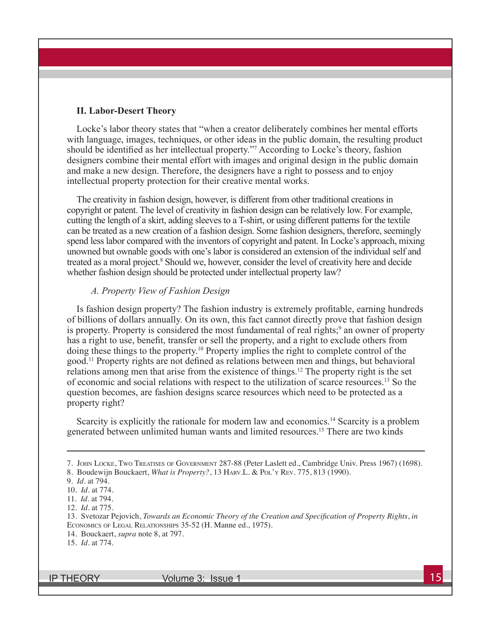#### **II. Labor-Desert Theory**

Locke's labor theory states that "when a creator deliberately combines her mental efforts with language, images, techniques, or other ideas in the public domain, the resulting product should be identified as her intellectual property."<sup>7</sup> According to Locke's theory, fashion designers combine their mental effort with images and original design in the public domain and make a new design. Therefore, the designers have a right to possess and to enjoy intellectual property protection for their creative mental works.

The creativity in fashion design, however, is different from other traditional creations in copyright or patent. The level of creativity in fashion design can be relatively low. For example, cutting the length of a skirt, adding sleeves to a T-shirt, or using different patterns for the textile can be treated as a new creation of a fashion design. Some fashion designers, therefore, seemingly spend less labor compared with the inventors of copyright and patent. In Locke's approach, mixing unowned but ownable goods with one's labor is considered an extension of the individual self and treated as a moral project.<sup>8</sup> Should we, however, consider the level of creativity here and decide whether fashion design should be protected under intellectual property law?

## *A. Property View of Fashion Design*

Is fashion design property? The fashion industry is extremely profitable, earning hundreds of billions of dollars annually. On its own, this fact cannot directly prove that fashion design is property. Property is considered the most fundamental of real rights;<sup>9</sup> an owner of property has a right to use, benefit, transfer or sell the property, and a right to exclude others from doing these things to the property.10 Property implies the right to complete control of the good.11 Property rights are not defined as relations between men and things, but behavioral relations among men that arise from the existence of things.12 The property right is the set of economic and social relations with respect to the utilization of scarce resources.13 So the question becomes, are fashion designs scarce resources which need to be protected as a property right?

Scarcity is explicitly the rationale for modern law and economics.<sup>14</sup> Scarcity is a problem generated between unlimited human wants and limited resources.15 There are two kinds

<sup>7.</sup> John Locke, Two Treatises of Government 287-88 (Peter Laslett ed., Cambridge Univ. Press 1967) (1698).

<sup>8.</sup> Boudewijn Bouckaert, *What is Property?*, 13 Harv.L. & Pol'y Rev. 775, 813 (1990).

<sup>9.</sup> *Id.* at 794.

<sup>10.</sup> *Id.* at 774.

<sup>11.</sup> *Id.* at 794.

<sup>12.</sup> *Id.* at 775.

<sup>13.</sup> Svetozar Pejovich, *Towards an Economic Theory of the Creation and Specification of Property Rights*, *in*  Economics of Legal Relationships 35-52 (H. Manne ed., 1975).

<sup>14.</sup> Bouckaert, *supra* note 8, at 797.

<sup>15.</sup> *Id.* at 774.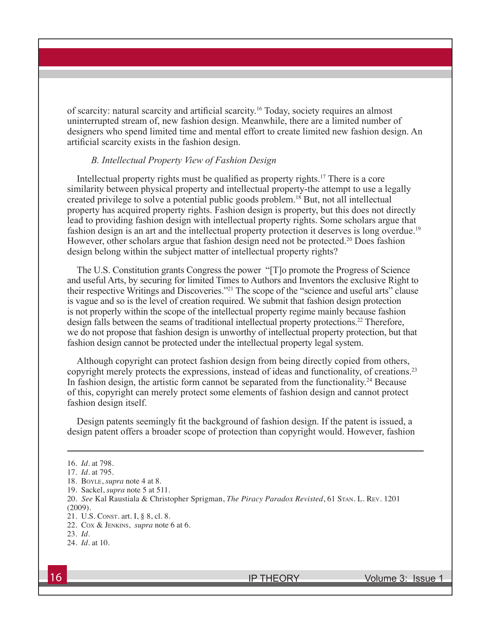of scarcity: natural scarcity and artificial scarcity.16 Today, society requires an almost uninterrupted stream of, new fashion design. Meanwhile, there are a limited number of designers who spend limited time and mental effort to create limited new fashion design. An artificial scarcity exists in the fashion design.

#### *B. Intellectual Property View of Fashion Design*

Intellectual property rights must be qualified as property rights.<sup>17</sup> There is a core similarity between physical property and intellectual property-the attempt to use a legally created privilege to solve a potential public goods problem.18 But, not all intellectual property has acquired property rights. Fashion design is property, but this does not directly lead to providing fashion design with intellectual property rights. Some scholars argue that fashion design is an art and the intellectual property protection it deserves is long overdue.<sup>19</sup> However, other scholars argue that fashion design need not be protected.<sup>20</sup> Does fashion design belong within the subject matter of intellectual property rights?

The U.S. Constitution grants Congress the power "[T]o promote the Progress of Science and useful Arts, by securing for limited Times to Authors and Inventors the exclusive Right to their respective Writings and Discoveries."21 The scope of the "science and useful arts" clause is vague and so is the level of creation required. We submit that fashion design protection is not properly within the scope of the intellectual property regime mainly because fashion design falls between the seams of traditional intellectual property protections.<sup>22</sup> Therefore, we do not propose that fashion design is unworthy of intellectual property protection, but that fashion design cannot be protected under the intellectual property legal system.

Although copyright can protect fashion design from being directly copied from others, copyright merely protects the expressions, instead of ideas and functionality, of creations.<sup>23</sup> In fashion design, the artistic form cannot be separated from the functionality.<sup>24</sup> Because of this, copyright can merely protect some elements of fashion design and cannot protect fashion design itself.

Design patents seemingly fit the background of fashion design. If the patent is issued, a design patent offers a broader scope of protection than copyright would. However, fashion

<sup>16.</sup> *Id.* at 798.

<sup>17.</sup> *Id.* at 795.

<sup>18.</sup> Boyle, *supra* note 4 at 8.

<sup>19.</sup> Sackel, *supra* note 5 at 511.

<sup>20.</sup> *See* Kal Raustiala & Christopher Sprigman, *The Piracy Paradox Revisted*, 61 Stan. L. Rev. 1201 (2009).

<sup>21.</sup> U.S. Const. art. I, § 8, cl. 8.

<sup>22.</sup> Cox & Jenkins, *supra* note 6 at 6.

<sup>23.</sup> *Id.* 

<sup>24.</sup> *Id.* at 10.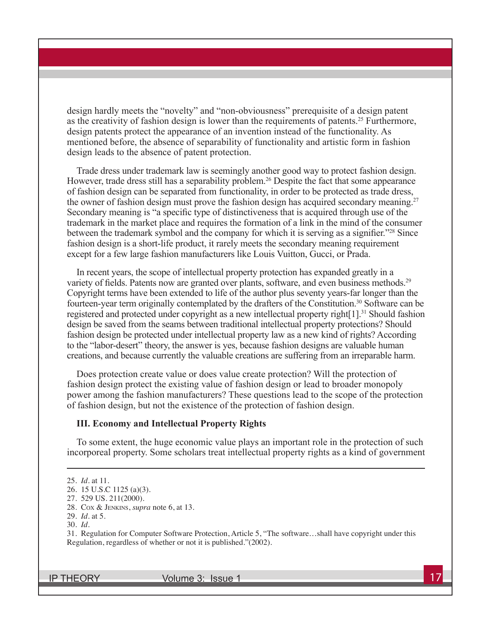design hardly meets the "novelty" and "non-obviousness" prerequisite of a design patent as the creativity of fashion design is lower than the requirements of patents.25 Furthermore, design patents protect the appearance of an invention instead of the functionality. As mentioned before, the absence of separability of functionality and artistic form in fashion design leads to the absence of patent protection.

Trade dress under trademark law is seemingly another good way to protect fashion design. However, trade dress still has a separability problem.<sup>26</sup> Despite the fact that some appearance of fashion design can be separated from functionality, in order to be protected as trade dress, the owner of fashion design must prove the fashion design has acquired secondary meaning.<sup>27</sup> Secondary meaning is "a specific type of distinctiveness that is acquired through use of the trademark in the market place and requires the formation of a link in the mind of the consumer between the trademark symbol and the company for which it is serving as a signifier."<sup>28</sup> Since fashion design is a short-life product, it rarely meets the secondary meaning requirement except for a few large fashion manufacturers like Louis Vuitton, Gucci, or Prada.

In recent years, the scope of intellectual property protection has expanded greatly in a variety of fields. Patents now are granted over plants, software, and even business methods.<sup>29</sup> Copyright terms have been extended to life of the author plus seventy years-far longer than the fourteen-year term originally contemplated by the drafters of the Constitution.<sup>30</sup> Software can be registered and protected under copyright as a new intellectual property right[1].31 Should fashion design be saved from the seams between traditional intellectual property protections? Should fashion design be protected under intellectual property law as a new kind of rights? According to the "labor-desert" theory, the answer is yes, because fashion designs are valuable human creations, and because currently the valuable creations are suffering from an irreparable harm.

Does protection create value or does value create protection? Will the protection of fashion design protect the existing value of fashion design or lead to broader monopoly power among the fashion manufacturers? These questions lead to the scope of the protection of fashion design, but not the existence of the protection of fashion design.

#### **III. Economy and Intellectual Property Rights**

To some extent, the huge economic value plays an important role in the protection of such incorporeal property. Some scholars treat intellectual property rights as a kind of government

31. Regulation for Computer Software Protection, Article 5, "The software…shall have copyright under this Regulation, regardless of whether or not it is published."(2002).

<sup>25.</sup> *Id.* at 11.

<sup>26. 15</sup> U.S.C 1125 (a)(3).

<sup>27. 529</sup> US. 211(2000).

<sup>28.</sup> Cox & Jenkins, *supra* note 6, at 13.

<sup>29.</sup> *Id.* at 5.

<sup>30.</sup> *Id*.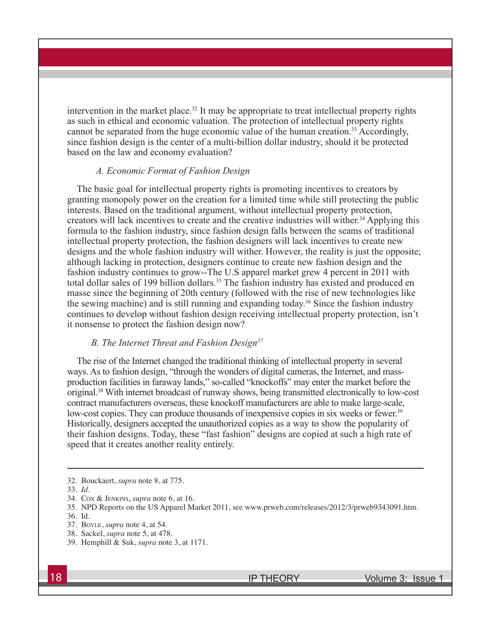intervention in the market place.<sup>32</sup> It may be appropriate to treat intellectual property rights as such in ethical and economic valuation. The protection of intellectual property rights cannot be separated from the huge economic value of the human creation.<sup>33</sup> Accordingly, since fashion design is the center of a multi-billion dollar industry, should it be protected based on the law and economy evaluation?

#### *A. Economic Format of Fashion Design*

The basic goal for intellectual property rights is promoting incentives to creators by granting monopoly power on the creation for a limited time while still protecting the public interests. Based on the traditional argument, without intellectual property protection, creators will lack incentives to create and the creative industries will wither.34 Applying this formula to the fashion industry, since fashion design falls between the seams of traditional intellectual property protection, the fashion designers will lack incentives to create new designs and the whole fashion industry will wither. However, the reality is just the opposite; although lacking in protection, designers continue to create new fashion design and the fashion industry continues to grow--The U.S apparel market grew 4 percent in 2011 with total dollar sales of 199 billion dollars.<sup>35</sup> The fashion industry has existed and produced en masse since the beginning of 20th century (followed with the rise of new technologies like the sewing machine) and is still running and expanding today.<sup>36</sup> Since the fashion industry continues to develop without fashion design receiving intellectual property protection, isn't it nonsense to protect the fashion design now?

#### *B. The Internet Threat and Fashion Design37*

The rise of the Internet changed the traditional thinking of intellectual property in several ways. As to fashion design, "through the wonders of digital cameras, the Internet, and massproduction facilities in faraway lands," so-called "knockoffs" may enter the market before the original.38 With internet broadcast of runway shows, being transmitted electronically to low-cost contract manufacturers overseas, these knockoff manufacturers are able to make large-scale, low-cost copies. They can produce thousands of inexpensive copies in six weeks or fewer.<sup>39</sup> Historically, designers accepted the unauthorized copies as a way to show the popularity of their fashion designs. Today, these "fast fashion" designs are copied at such a high rate of speed that it creates another reality entirely.

<sup>32.</sup> Bouckaert, *supra* note 8, at 775.

<sup>33.</sup> *Id.*

<sup>34.</sup> Cox & Jenkins, *supra* note 6, at 16.

<sup>35.</sup> NPD Reports on the US Apparel Market 2011, see www.prweb.com/releases/2012/3/prweb9343091.htm.

<sup>36.</sup> Id.

<sup>37.</sup> Boyle, *supra* note 4, at 54.

<sup>38.</sup> Sackel, *supra* note 5, at 478.

<sup>39.</sup> Hemphill & Suk, *supra* note 3, at 1171.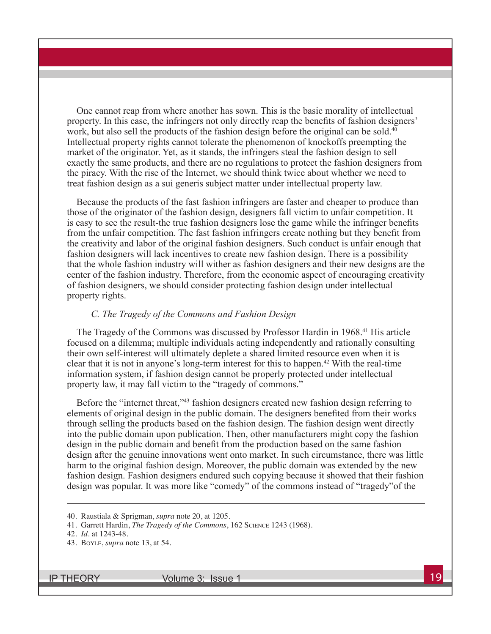One cannot reap from where another has sown. This is the basic morality of intellectual property. In this case, the infringers not only directly reap the benefits of fashion designers' work, but also sell the products of the fashion design before the original can be sold. $40$ Intellectual property rights cannot tolerate the phenomenon of knockoffs preempting the market of the originator. Yet, as it stands, the infringers steal the fashion design to sell exactly the same products, and there are no regulations to protect the fashion designers from the piracy. With the rise of the Internet, we should think twice about whether we need to treat fashion design as a sui generis subject matter under intellectual property law.

Because the products of the fast fashion infringers are faster and cheaper to produce than those of the originator of the fashion design, designers fall victim to unfair competition. It is easy to see the result-the true fashion designers lose the game while the infringer benefits from the unfair competition. The fast fashion infringers create nothing but they benefit from the creativity and labor of the original fashion designers. Such conduct is unfair enough that fashion designers will lack incentives to create new fashion design. There is a possibility that the whole fashion industry will wither as fashion designers and their new designs are the center of the fashion industry. Therefore, from the economic aspect of encouraging creativity of fashion designers, we should consider protecting fashion design under intellectual property rights.

#### *C. The Tragedy of the Commons and Fashion Design*

The Tragedy of the Commons was discussed by Professor Hardin in 1968.<sup>41</sup> His article focused on a dilemma; multiple individuals acting independently and rationally consulting their own self-interest will ultimately deplete a shared limited resource even when it is clear that it is not in anyone's long-term interest for this to happen.42 With the real-time information system, if fashion design cannot be properly protected under intellectual property law, it may fall victim to the "tragedy of commons."

Before the "internet threat,"<sup>43</sup> fashion designers created new fashion design referring to elements of original design in the public domain. The designers benefited from their works through selling the products based on the fashion design. The fashion design went directly into the public domain upon publication. Then, other manufacturers might copy the fashion design in the public domain and benefit from the production based on the same fashion design after the genuine innovations went onto market. In such circumstance, there was little harm to the original fashion design. Moreover, the public domain was extended by the new fashion design. Fashion designers endured such copying because it showed that their fashion design was popular. It was more like "comedy" of the commons instead of "tragedy"of the

<sup>40.</sup> Raustiala & Sprigman, *supra* note 20, at 1205.

<sup>41.</sup> Garrett Hardin, *The Tragedy of the Commons*, 162 Science 1243 (1968).

<sup>42.</sup> *Id.* at 1243-48.

<sup>43.</sup> Boyle, *supra* note 13, at 54.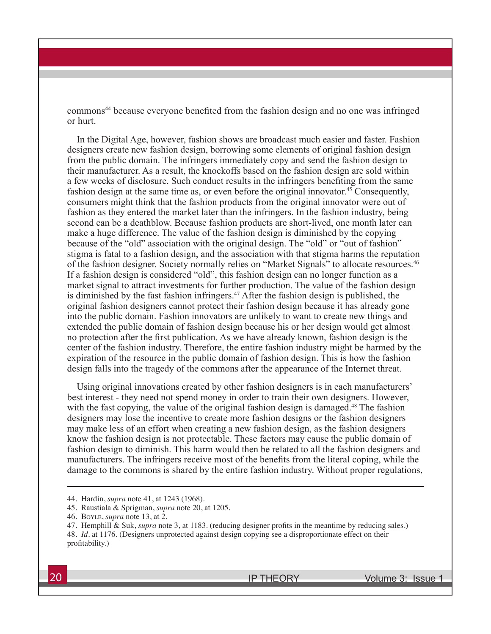commons44 because everyone benefited from the fashion design and no one was infringed or hurt.

In the Digital Age, however, fashion shows are broadcast much easier and faster. Fashion designers create new fashion design, borrowing some elements of original fashion design from the public domain. The infringers immediately copy and send the fashion design to their manufacturer. As a result, the knockoffs based on the fashion design are sold within a few weeks of disclosure. Such conduct results in the infringers benefiting from the same fashion design at the same time as, or even before the original innovator.<sup>45</sup> Consequently, consumers might think that the fashion products from the original innovator were out of fashion as they entered the market later than the infringers. In the fashion industry, being second can be a deathblow. Because fashion products are short-lived, one month later can make a huge difference. The value of the fashion design is diminished by the copying because of the "old" association with the original design. The "old" or "out of fashion" stigma is fatal to a fashion design, and the association with that stigma harms the reputation of the fashion designer. Society normally relies on "Market Signals" to allocate resources.46 If a fashion design is considered "old", this fashion design can no longer function as a market signal to attract investments for further production. The value of the fashion design is diminished by the fast fashion infringers.<sup>47</sup> After the fashion design is published, the original fashion designers cannot protect their fashion design because it has already gone into the public domain. Fashion innovators are unlikely to want to create new things and extended the public domain of fashion design because his or her design would get almost no protection after the first publication. As we have already known, fashion design is the center of the fashion industry. Therefore, the entire fashion industry might be harmed by the expiration of the resource in the public domain of fashion design. This is how the fashion design falls into the tragedy of the commons after the appearance of the Internet threat.

Using original innovations created by other fashion designers is in each manufacturers' best interest - they need not spend money in order to train their own designers. However, with the fast copying, the value of the original fashion design is damaged.<sup>48</sup> The fashion designers may lose the incentive to create more fashion designs or the fashion designers may make less of an effort when creating a new fashion design, as the fashion designers know the fashion design is not protectable. These factors may cause the public domain of fashion design to diminish. This harm would then be related to all the fashion designers and manufacturers. The infringers receive most of the benefits from the literal coping, while the damage to the commons is shared by the entire fashion industry. Without proper regulations,

- 44. Hardin, *supra* note 41, at 1243 (1968).
- 45. Raustiala & Sprigman, *supra* note 20, at 1205.

<sup>46.</sup> Boyle, *supra* note 13, at 2.

<sup>47.</sup> Hemphill & Suk, *supra* note 3, at 1183. (reducing designer profits in the meantime by reducing sales.) 48. *Id.* at 1176. (Designers unprotected against design copying see a disproportionate effect on their profitability.)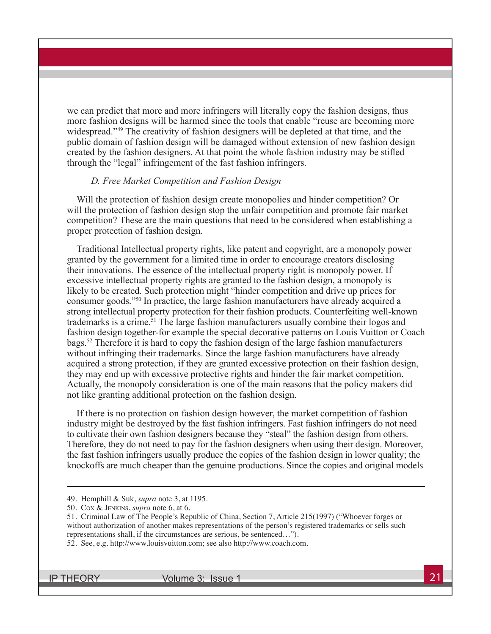we can predict that more and more infringers will literally copy the fashion designs, thus more fashion designs will be harmed since the tools that enable "reuse are becoming more widespread."<sup>49</sup> The creativity of fashion designers will be depleted at that time, and the public domain of fashion design will be damaged without extension of new fashion design created by the fashion designers. At that point the whole fashion industry may be stifled through the "legal" infringement of the fast fashion infringers.

#### *D. Free Market Competition and Fashion Design*

Will the protection of fashion design create monopolies and hinder competition? Or will the protection of fashion design stop the unfair competition and promote fair market competition? These are the main questions that need to be considered when establishing a proper protection of fashion design.

Traditional Intellectual property rights, like patent and copyright, are a monopoly power granted by the government for a limited time in order to encourage creators disclosing their innovations. The essence of the intellectual property right is monopoly power. If excessive intellectual property rights are granted to the fashion design, a monopoly is likely to be created. Such protection might "hinder competition and drive up prices for consumer goods."50 In practice, the large fashion manufacturers have already acquired a strong intellectual property protection for their fashion products. Counterfeiting well-known trademarks is a crime.<sup>51</sup> The large fashion manufacturers usually combine their logos and fashion design together-for example the special decorative patterns on Louis Vuitton or Coach bags.52 Therefore it is hard to copy the fashion design of the large fashion manufacturers without infringing their trademarks. Since the large fashion manufacturers have already acquired a strong protection, if they are granted excessive protection on their fashion design, they may end up with excessive protective rights and hinder the fair market competition. Actually, the monopoly consideration is one of the main reasons that the policy makers did not like granting additional protection on the fashion design.

If there is no protection on fashion design however, the market competition of fashion industry might be destroyed by the fast fashion infringers. Fast fashion infringers do not need to cultivate their own fashion designers because they "steal" the fashion design from others. Therefore, they do not need to pay for the fashion designers when using their design. Moreover, the fast fashion infringers usually produce the copies of the fashion design in lower quality; the knockoffs are much cheaper than the genuine productions. Since the copies and original models

- 49. Hemphill & Suk, *supra* note 3, at 1195.
- 50. Cox & Jenkins, *supra* note 6, at 6.

<sup>51.</sup> Criminal Law of The People's Republic of China, Section 7, Article 215(1997) ("Whoever forges or without authorization of another makes representations of the person's registered trademarks or sells such representations shall, if the circumstances are serious, be sentenced…").

<sup>52.</sup> See, e.g. http://www.louisvuitton.com; see also http://www.coach.com.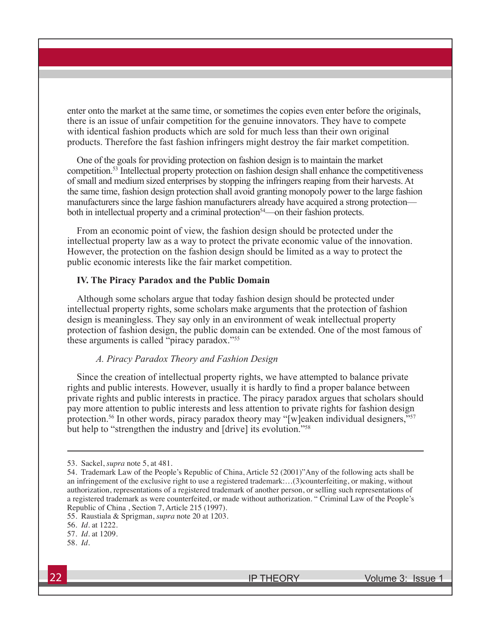enter onto the market at the same time, or sometimes the copies even enter before the originals, there is an issue of unfair competition for the genuine innovators. They have to compete with identical fashion products which are sold for much less than their own original products. Therefore the fast fashion infringers might destroy the fair market competition.

One of the goals for providing protection on fashion design is to maintain the market competition.53 Intellectual property protection on fashion design shall enhance the competitiveness of small and medium sized enterprises by stopping the infringers reaping from their harvests. At the same time, fashion design protection shall avoid granting monopoly power to the large fashion manufacturers since the large fashion manufacturers already have acquired a strong protection both in intellectual property and a criminal protection<sup>54</sup>—on their fashion protects.

From an economic point of view, the fashion design should be protected under the intellectual property law as a way to protect the private economic value of the innovation. However, the protection on the fashion design should be limited as a way to protect the public economic interests like the fair market competition.

#### **IV. The Piracy Paradox and the Public Domain**

Although some scholars argue that today fashion design should be protected under intellectual property rights, some scholars make arguments that the protection of fashion design is meaningless. They say only in an environment of weak intellectual property protection of fashion design, the public domain can be extended. One of the most famous of these arguments is called "piracy paradox."55

## *A. Piracy Paradox Theory and Fashion Design*

Since the creation of intellectual property rights, we have attempted to balance private rights and public interests. However, usually it is hardly to find a proper balance between private rights and public interests in practice. The piracy paradox argues that scholars should pay more attention to public interests and less attention to private rights for fashion design protection.<sup>56</sup> In other words, piracy paradox theory may "[w]eaken individual designers,"<sup>57</sup> but help to "strengthen the industry and [drive] its evolution."<sup>58</sup>

55. Raustiala & Sprigman, *supra* note 20 at 1203.

<sup>53.</sup> Sackel, *supra* note 5, at 481.

<sup>54.</sup> Trademark Law of the People's Republic of China, Article 52 (2001)"Any of the following acts shall be an infringement of the exclusive right to use a registered trademark:…(3)counterfeiting, or making, without authorization, representations of a registered trademark of another person, or selling such representations of a registered trademark as were counterfeited, or made without authorization. " Criminal Law of the People's Republic of China , Section 7, Article 215 (1997).

<sup>56.</sup> *Id.* at 1222.

<sup>57.</sup> *Id.* at 1209.

<sup>58.</sup> *Id*.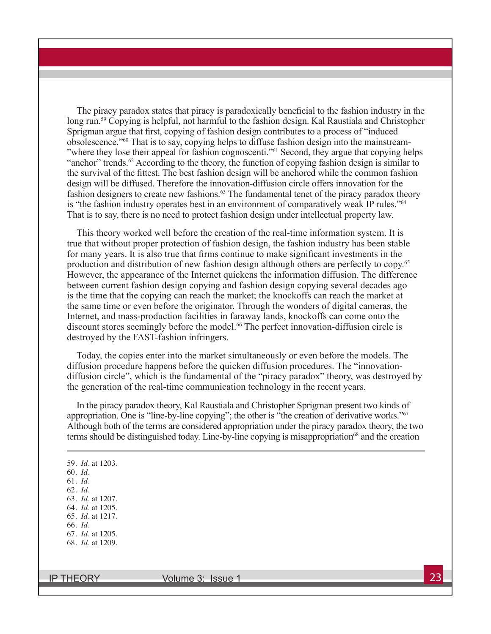The piracy paradox states that piracy is paradoxically beneficial to the fashion industry in the long run.<sup>59</sup> Copying is helpful, not harmful to the fashion design. Kal Raustiala and Christopher Sprigman argue that first, copying of fashion design contributes to a process of "induced obsolescence."60 That is to say, copying helps to diffuse fashion design into the mainstream- "where they lose their appeal for fashion cognoscenti."<sup>61</sup> Second, they argue that copying helps "anchor" trends. $62$  According to the theory, the function of copying fashion design is similar to the survival of the fittest. The best fashion design will be anchored while the common fashion design will be diffused. Therefore the innovation-diffusion circle offers innovation for the fashion designers to create new fashions.<sup>63</sup> The fundamental tenet of the piracy paradox theory is "the fashion industry operates best in an environment of comparatively weak IP rules."<sup>64</sup> That is to say, there is no need to protect fashion design under intellectual property law.

This theory worked well before the creation of the real-time information system. It is true that without proper protection of fashion design, the fashion industry has been stable for many years. It is also true that firms continue to make significant investments in the production and distribution of new fashion design although others are perfectly to copy.65 However, the appearance of the Internet quickens the information diffusion. The difference between current fashion design copying and fashion design copying several decades ago is the time that the copying can reach the market; the knockoffs can reach the market at the same time or even before the originator. Through the wonders of digital cameras, the Internet, and mass-production facilities in faraway lands, knockoffs can come onto the discount stores seemingly before the model.<sup>66</sup> The perfect innovation-diffusion circle is destroyed by the FAST-fashion infringers.

Today, the copies enter into the market simultaneously or even before the models. The diffusion procedure happens before the quicken diffusion procedures. The "innovationdiffusion circle", which is the fundamental of the "piracy paradox" theory, was destroyed by the generation of the real-time communication technology in the recent years.

In the piracy paradox theory, Kal Raustiala and Christopher Sprigman present two kinds of appropriation. One is "line-by-line copying"; the other is "the creation of derivative works."<sup>67</sup> Although both of the terms are considered appropriation under the piracy paradox theory, the two terms should be distinguished today. Line-by-line copying is misappropriation<sup>68</sup> and the creation

59. *Id.* at 1203. 60. *Id.* 61. *Id.* 62. *Id.* 63. *Id.* at 1207. 64. *Id.* at 1205. 65. *Id.* at 1217. 66. *Id.* 67. *Id.* at 1205. 68. *Id.* at 1209.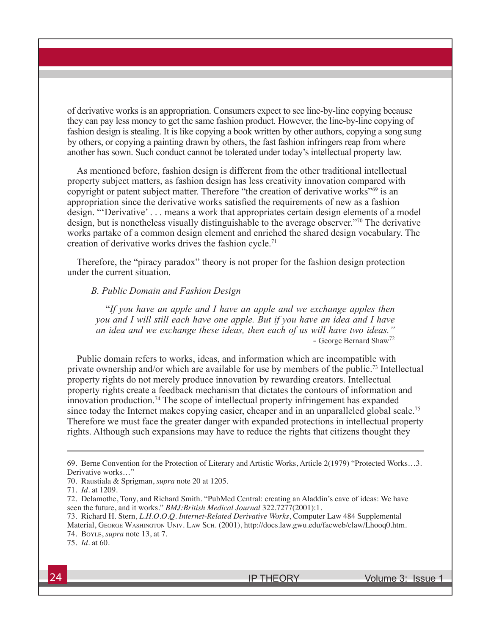of derivative works is an appropriation. Consumers expect to see line-by-line copying because they can pay less money to get the same fashion product. However, the line-by-line copying of fashion design is stealing. It is like copying a book written by other authors, copying a song sung by others, or copying a painting drawn by others, the fast fashion infringers reap from where another has sown. Such conduct cannot be tolerated under today's intellectual property law.

As mentioned before, fashion design is different from the other traditional intellectual property subject matters, as fashion design has less creativity innovation compared with copyright or patent subject matter. Therefore "the creation of derivative works"<sup>69</sup> is an appropriation since the derivative works satisfied the requirements of new as a fashion design. "'Derivative' . . . means a work that appropriates certain design elements of a model design, but is nonetheless visually distinguishable to the average observer."70 The derivative works partake of a common design element and enriched the shared design vocabulary. The creation of derivative works drives the fashion cycle.<sup>71</sup>

Therefore, the "piracy paradox" theory is not proper for the fashion design protection under the current situation.

*B. Public Domain and Fashion Design*

"*If you have an apple and I have an apple and we exchange apples then you and I will still each have one apple. But if you have an idea and I have an idea and we exchange these ideas, then each of us will have two ideas."* - George Bernard Shaw72

Public domain refers to works, ideas, and information which are incompatible with private ownership and/or which are available for use by members of the public.73 Intellectual property rights do not merely produce innovation by rewarding creators. Intellectual property rights create a feedback mechanism that dictates the contours of information and innovation production.74 The scope of intellectual property infringement has expanded since today the Internet makes copying easier, cheaper and in an unparalleled global scale.<sup>75</sup> Therefore we must face the greater danger with expanded protections in intellectual property rights. Although such expansions may have to reduce the rights that citizens thought they

<sup>69.</sup> Berne Convention for the Protection of Literary and Artistic Works, Article 2(1979) "Protected Works…3. Derivative works…"

<sup>70.</sup> Raustiala & Sprigman, *supra* note 20 at 1205.

<sup>71.</sup> *Id.* at 1209.

<sup>72.</sup> Delamothe, Tony, and Richard Smith. "PubMed Central: creating an Aladdin's cave of ideas: We have seen the future, and it works." *BMJ:British Medical Journal* 322.7277(2001):1.

<sup>73.</sup> Richard H. Stern, *L.H.O.O.Q. Internet-Related Derivative Works*, Computer Law 484 Supplemental Material, George Washington Univ. Law Sch. (2001), http://docs.law.gwu.edu/facweb/claw/Lhooq0.htm. 74. Boyle, *supra* note 13, at 7.

<sup>75.</sup> *Id.* at 60.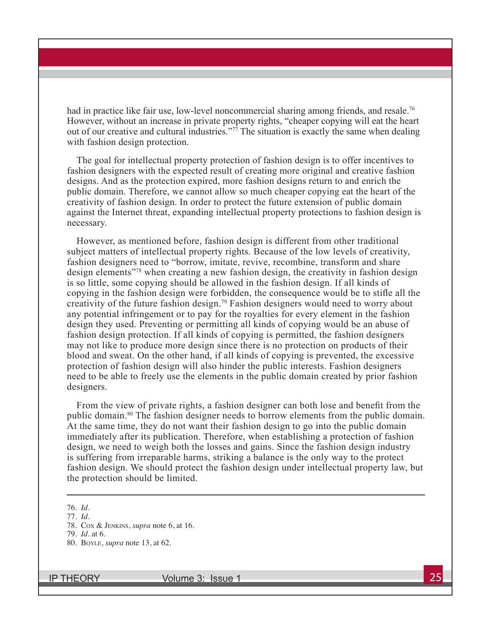had in practice like fair use, low-level noncommercial sharing among friends, and resale.<sup>76</sup> However, without an increase in private property rights, "cheaper copying will eat the heart out of our creative and cultural industries."77 The situation is exactly the same when dealing with fashion design protection.

The goal for intellectual property protection of fashion design is to offer incentives to fashion designers with the expected result of creating more original and creative fashion designs. And as the protection expired, more fashion designs return to and enrich the public domain. Therefore, we cannot allow so much cheaper copying eat the heart of the creativity of fashion design. In order to protect the future extension of public domain against the Internet threat, expanding intellectual property protections to fashion design is necessary.

However, as mentioned before, fashion design is different from other traditional subject matters of intellectual property rights. Because of the low levels of creativity, fashion designers need to "borrow, imitate, revive, recombine, transform and share design elements"78 when creating a new fashion design, the creativity in fashion design is so little, some copying should be allowed in the fashion design. If all kinds of copying in the fashion design were forbidden, the consequence would be to stifle all the creativity of the future fashion design.79 Fashion designers would need to worry about any potential infringement or to pay for the royalties for every element in the fashion design they used. Preventing or permitting all kinds of copying would be an abuse of fashion design protection. If all kinds of copying is permitted, the fashion designers may not like to produce more design since there is no protection on products of their blood and sweat. On the other hand, if all kinds of copying is prevented, the excessive protection of fashion design will also hinder the public interests. Fashion designers need to be able to freely use the elements in the public domain created by prior fashion designers.

From the view of private rights, a fashion designer can both lose and benefit from the public domain.80 The fashion designer needs to borrow elements from the public domain. At the same time, they do not want their fashion design to go into the public domain immediately after its publication. Therefore, when establishing a protection of fashion design, we need to weigh both the losses and gains. Since the fashion design industry is suffering from irreparable harms, striking a balance is the only way to the protect fashion design. We should protect the fashion design under intellectual property law, but the protection should be limited.

<sup>76.</sup> *Id.*

<sup>77.</sup> *Id.*

<sup>78.</sup> Cox & Jenkins, *supra* note 6, at 16.

<sup>79.</sup> *Id.* at 6.

<sup>80.</sup> Boyle, *supra* note 13, at 62.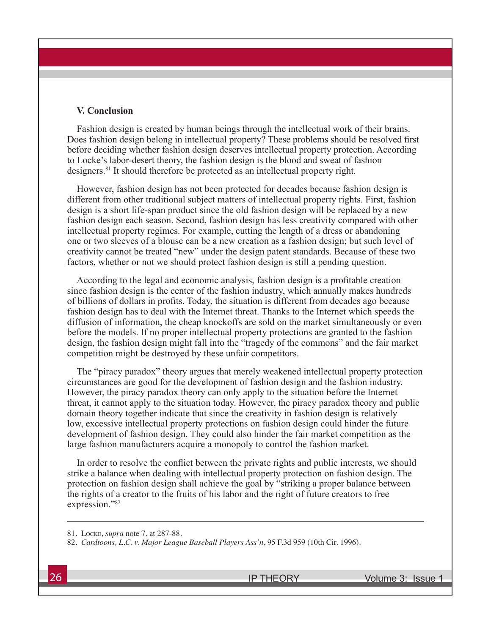#### **V. Conclusion**

Fashion design is created by human beings through the intellectual work of their brains. Does fashion design belong in intellectual property? These problems should be resolved first before deciding whether fashion design deserves intellectual property protection. According to Locke's labor-desert theory, the fashion design is the blood and sweat of fashion designers.<sup>81</sup> It should therefore be protected as an intellectual property right.

However, fashion design has not been protected for decades because fashion design is different from other traditional subject matters of intellectual property rights. First, fashion design is a short life-span product since the old fashion design will be replaced by a new fashion design each season. Second, fashion design has less creativity compared with other intellectual property regimes. For example, cutting the length of a dress or abandoning one or two sleeves of a blouse can be a new creation as a fashion design; but such level of creativity cannot be treated "new" under the design patent standards. Because of these two factors, whether or not we should protect fashion design is still a pending question.

According to the legal and economic analysis, fashion design is a profitable creation since fashion design is the center of the fashion industry, which annually makes hundreds of billions of dollars in profits. Today, the situation is different from decades ago because fashion design has to deal with the Internet threat. Thanks to the Internet which speeds the diffusion of information, the cheap knockoffs are sold on the market simultaneously or even before the models. If no proper intellectual property protections are granted to the fashion design, the fashion design might fall into the "tragedy of the commons" and the fair market competition might be destroyed by these unfair competitors.

The "piracy paradox" theory argues that merely weakened intellectual property protection circumstances are good for the development of fashion design and the fashion industry. However, the piracy paradox theory can only apply to the situation before the Internet threat, it cannot apply to the situation today. However, the piracy paradox theory and public domain theory together indicate that since the creativity in fashion design is relatively low, excessive intellectual property protections on fashion design could hinder the future development of fashion design. They could also hinder the fair market competition as the large fashion manufacturers acquire a monopoly to control the fashion market.

In order to resolve the conflict between the private rights and public interests, we should strike a balance when dealing with intellectual property protection on fashion design. The protection on fashion design shall achieve the goal by "striking a proper balance between the rights of a creator to the fruits of his labor and the right of future creators to free expression."82

<sup>81.</sup> Locke, *supra* note 7, at 287-88.

<sup>82.</sup> *Cardtoons, L.C. v. Major League Baseball Players Ass'n*, 95 F.3d 959 (10th Cir. 1996).